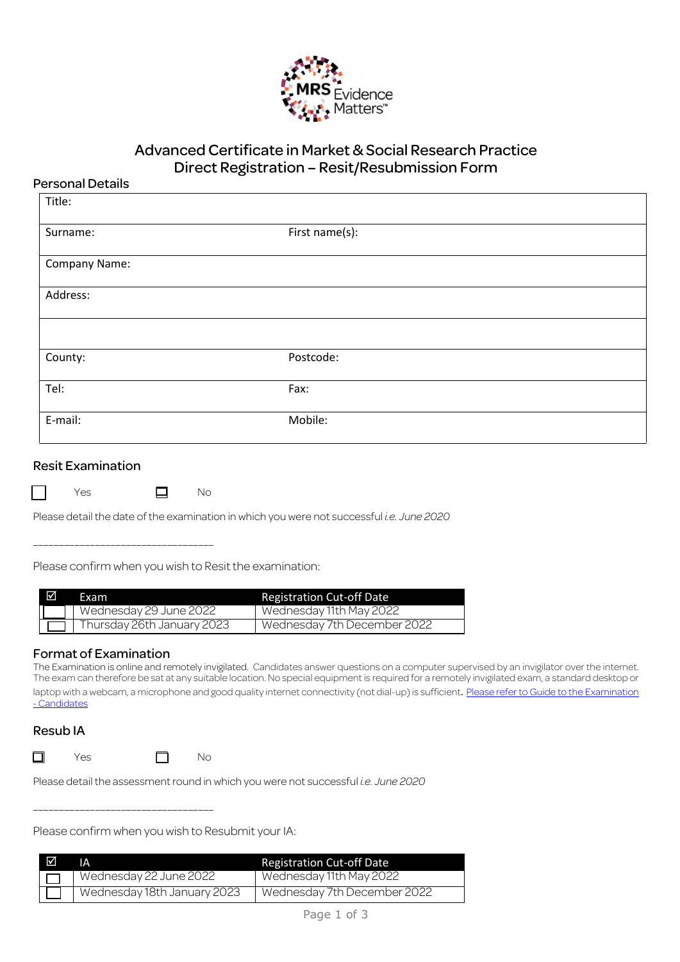

# Advanced Certificate in Market & Social Research Practice Direct Registration – Resit/Resubmission Form

## Personal Details

| Title:        |                |  |
|---------------|----------------|--|
| Surname:      | First name(s): |  |
| Company Name: |                |  |
| Address:      |                |  |
|               |                |  |
| County:       | Postcode:      |  |
| Tel:          | Fax:           |  |
| E-mail:       | Mobile:        |  |
|               |                |  |

### Resit Examination

where the Second State State State State State State State State State State State State State State State Sta

Please detail the date of the examination in which you were not successful *i.e. June 2020*

\_\_\_\_\_\_\_\_\_\_\_\_\_\_\_\_\_\_\_\_\_\_\_\_\_\_\_\_\_\_\_\_\_\_\_

Please confirm when you wish to Resit the examination:

| ⊠ | Exam                       | <b>Registration Cut-off Date</b> |
|---|----------------------------|----------------------------------|
|   | Wednesday 29 June 2022     | Wednesday 11th May 2022          |
|   | Thursday 26th January 2023 | Wednesday 7th December 2022      |

## Format of Examination

The Examination is online and remotely invigilated. Candidates answer questions on a computer supervised by an invigilator over the internet. The exam can therefore be sat at any suitable location. No special equipment is required for a remotely invigilated exam, a standard desktop or laptop with a webcam, a microphone and good quality internet connectivity (not dial-up) is sufficient. Please refer to Guide to the Examination - Candidates

## Resub IA

 $\Box$  Yes  $\Box$  No

\_\_\_\_\_\_\_\_\_\_\_\_\_\_\_\_\_\_\_\_\_\_\_\_\_\_\_\_\_\_\_\_\_\_\_

Please detail the assessment round in which you were not successful *i.e. June 2020*

Please confirm when you wish to Resubmit your IA:

| ⊠ | ١Α                          | <b>Registration Cut-off Date</b> |
|---|-----------------------------|----------------------------------|
|   | Wednesday 22 June 2022      | Wednesday 11th May 2022          |
|   | Wednesday 18th January 2023 | Wednesday 7th December 2022      |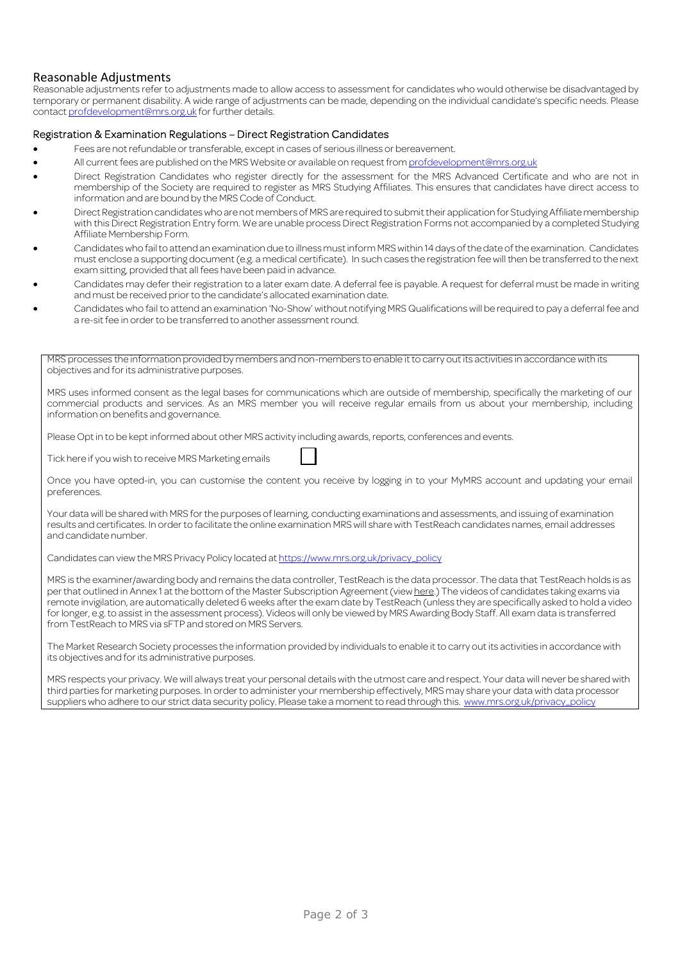### Reasonable Adjustments

Reasonable adjustments refer to adjustments made to allow access to assessment for candidates who would otherwise be disadvantaged by temporary or permanent disability. A wide range of adjustments can be made, depending on the individual candidate's specific needs. Please contact profdevelopment@mrs.org.uk for further details.

#### Registration & Examination Regulations – Direct Registration Candidates

- Fees are not refundable or transferable, except in cases of serious illness or bereavement.
- All current fees are published on the MRS Website or available on request from profdevelopment@mrs.org.uk
- Direct Registration Candidates who register directly for the assessment for the MRS Advanced Certificate and who are not in membership of the Society are required to register as MRS Studying Affiliates. This ensures that candidates have direct access to information and are bound by the MRS Code of Conduct.
- Direct Registration candidates who are not members of MRS are required to submit their application for Studying Affiliate membership with this Direct Registration Entry form. We are unable process Direct Registration Forms not accompanied by a completed Studying Affiliate Membership Form.
- Candidates who fail to attend an examination due to illness must inform MRS within 14 days of the date of the examination. Candidates must enclose a supporting document (e.g. a medical certificate). In such cases the registration fee will then be transferred to the next exam sitting, provided that all fees have been paid in advance.
- Candidates may defer their registration to a later exam date. A deferral fee is payable. A request for deferral must be made in writing and must be received prior to the candidate's allocated examination date.
- Candidates who fail to attend an examination 'No-Show' without notifying MRS Qualifications will be required to pay a deferral fee and a re-sit fee in order to be transferred to another assessment round.

MRS processes the information provided by members and non-members to enable it to carry out its activities in accordance with its objectives and for its administrative purposes.

MRS uses informed consent as the legal bases for communications which are outside of membership, specifically the marketing of our commercial products and services. As an MRS member you will receive regular emails from us about your membership, including information on benefits and governance.

Please Opt in to be kept informed about other MRS activity including awards, reports, conferences and events.

Tick here if you wish to receive MRS Marketing emails

Once you have opted-in, you can customise the content you receive by logging in to your MyMRS account and updating your email preferences.

Your data will be shared with MRS for the purposes of learning, conducting examinations and assessments, and issuing of examination results and certificates. In order to facilitate the online examination MRS will share with TestReach candidates names, email addresses and candidate number.

Candidates can view the MRS Privacy Policy located at https://www.mrs.org.uk/privacy\_policy

MRS is the examiner/awarding body and remains the data controller, TestReach is the data processor. The data that TestReach holds is as per that outlined in Annex 1 at the bottom of the Master Subscription Agreement (view here.) The videos of candidates taking exams via remote invigilation, are automatically deleted 6 weeks after the exam date by TestReach (unless they are specifically asked to hold a video for longer, e.g. to assist in the assessment process). Videos will only be viewed by MRS Awarding Body Staff. All exam data is transferred from TestReach to MRS via sFTP and stored on MRS Servers.

The Market Research Society processes the information provided by individuals to enable it to carry out its activities in accordance with its objectives and for its administrative purposes.

MRS respects your privacy. We will always treat your personal details with the utmost care and respect. Your data will never be shared with third parties for marketing purposes. In order to administer your membership effectively, MRS may share your data with data processor suppliers who adhere to our strict data security policy. Please take a moment to read through this. www.mrs.org.uk/privacy\_policy